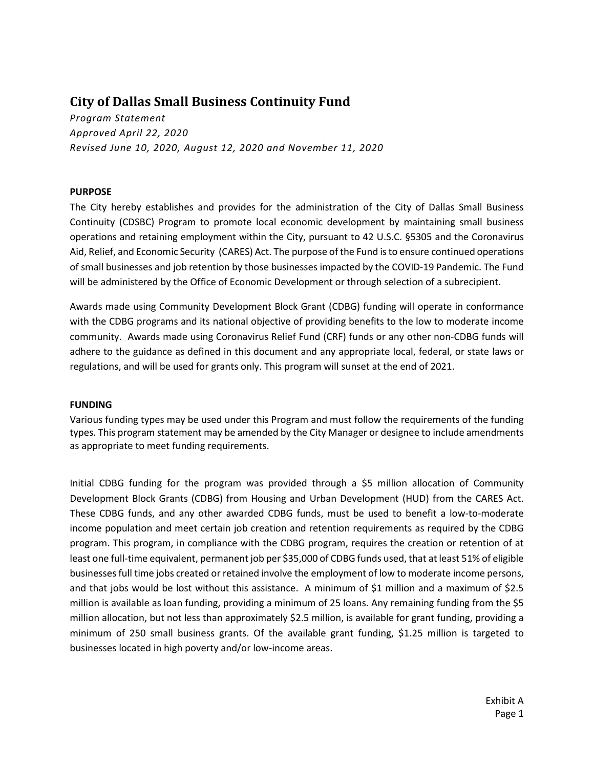# **City of Dallas Small Business Continuity Fund**

*Program Statement Approved April 22, 2020 Revised June 10, 2020, August 12, 2020 and November 11, 2020*

### **PURPOSE**

The City hereby establishes and provides for the administration of the City of Dallas Small Business Continuity (CDSBC) Program to promote local economic development by maintaining small business operations and retaining employment within the City, pursuant to 42 U.S.C. §5305 and the Coronavirus Aid, Relief, and Economic Security (CARES) Act. The purpose of the Fund is to ensure continued operations of small businesses and job retention by those businesses impacted by the COVID-19 Pandemic. The Fund will be administered by the Office of Economic Development or through selection of a subrecipient.

Awards made using Community Development Block Grant (CDBG) funding will operate in conformance with the CDBG programs and its national objective of providing benefits to the low to moderate income community. Awards made using Coronavirus Relief Fund (CRF) funds or any other non-CDBG funds will adhere to the guidance as defined in this document and any appropriate local, federal, or state laws or regulations, and will be used for grants only. This program will sunset at the end of 2021.

#### **FUNDING**

Various funding types may be used under this Program and must follow the requirements of the funding types. This program statement may be amended by the City Manager or designee to include amendments as appropriate to meet funding requirements.

Initial CDBG funding for the program was provided through a \$5 million allocation of Community Development Block Grants (CDBG) from Housing and Urban Development (HUD) from the CARES Act. These CDBG funds, and any other awarded CDBG funds, must be used to benefit a low-to-moderate income population and meet certain job creation and retention requirements as required by the CDBG program. This program, in compliance with the CDBG program, requires the creation or retention of at least one full-time equivalent, permanent job per \$35,000 of CDBG funds used, that at least 51% of eligible businesses full time jobs created or retained involve the employment of low to moderate income persons, and that jobs would be lost without this assistance. A minimum of \$1 million and a maximum of \$2.5 million is available as loan funding, providing a minimum of 25 loans. Any remaining funding from the \$5 million allocation, but not less than approximately \$2.5 million, is available for grant funding, providing a minimum of 250 small business grants. Of the available grant funding, \$1.25 million is targeted to businesses located in high poverty and/or low-income areas.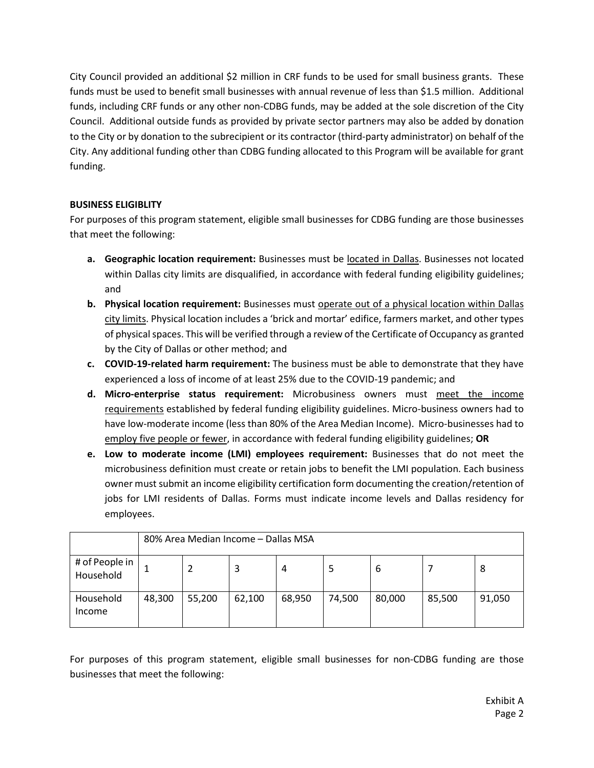City Council provided an additional \$2 million in CRF funds to be used for small business grants. These funds must be used to benefit small businesses with annual revenue of less than \$1.5 million. Additional funds, including CRF funds or any other non-CDBG funds, may be added at the sole discretion of the City Council. Additional outside funds as provided by private sector partners may also be added by donation to the City or by donation to the subrecipient or its contractor (third-party administrator) on behalf of the City. Any additional funding other than CDBG funding allocated to this Program will be available for grant funding.

# **BUSINESS ELIGIBLITY**

For purposes of this program statement, eligible small businesses for CDBG funding are those businesses that meet the following:

- **a. Geographic location requirement:** Businesses must be located in Dallas. Businesses not located within Dallas city limits are disqualified, in accordance with federal funding eligibility guidelines; and
- **b. Physical location requirement:** Businesses must operate out of a physical location within Dallas city limits. Physical location includes a 'brick and mortar' edifice, farmers market, and other types of physical spaces. This will be verified through a review of the Certificate of Occupancy as granted by the City of Dallas or other method; and
- **c. COVID-19-related harm requirement:** The business must be able to demonstrate that they have experienced a loss of income of at least 25% due to the COVID-19 pandemic; and
- **d. Micro-enterprise status requirement:** Microbusiness owners must meet the income requirements established by federal funding eligibility guidelines. Micro-business owners had to have low-moderate income (less than 80% of the Area Median Income). Micro-businesses had to employ five people or fewer, in accordance with federal funding eligibility guidelines; **OR**
- **e. Low to moderate income (LMI) employees requirement:** Businesses that do not meet the microbusiness definition must create or retain jobs to benefit the LMI population. Each business owner must submit an income eligibility certification form documenting the creation/retention of jobs for LMI residents of Dallas. Forms must indicate income levels and Dallas residency for employees.

|                             | 80% Area Median Income - Dallas MSA |        |        |        |        |        |        |        |
|-----------------------------|-------------------------------------|--------|--------|--------|--------|--------|--------|--------|
| # of People in<br>Household |                                     |        | 3      | 4      |        | 6      |        | 8      |
| Household<br>Income         | 48,300                              | 55,200 | 62,100 | 68,950 | 74,500 | 80,000 | 85,500 | 91,050 |

For purposes of this program statement, eligible small businesses for non-CDBG funding are those businesses that meet the following: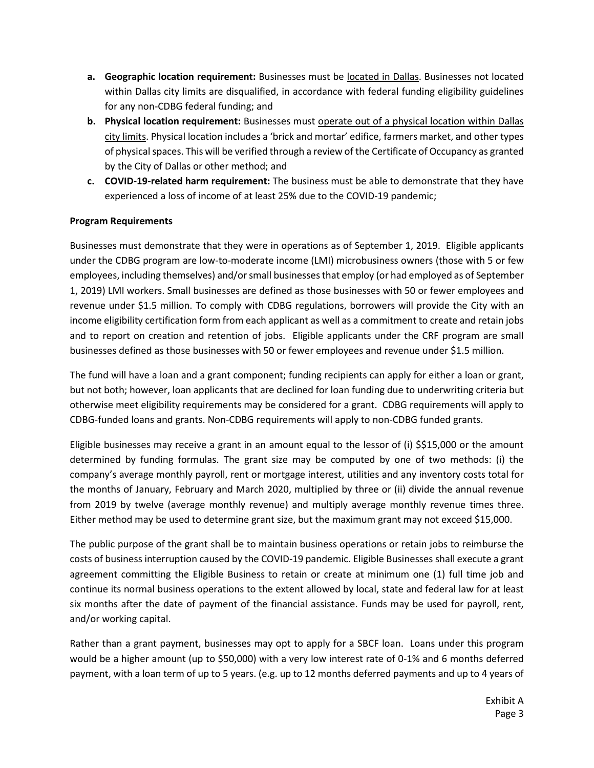- **a. Geographic location requirement:** Businesses must be located in Dallas. Businesses not located within Dallas city limits are disqualified, in accordance with federal funding eligibility guidelines for any non-CDBG federal funding; and
- **b. Physical location requirement:** Businesses must operate out of a physical location within Dallas city limits. Physical location includes a 'brick and mortar' edifice, farmers market, and other types of physical spaces. This will be verified through a review of the Certificate of Occupancy as granted by the City of Dallas or other method; and
- **c. COVID-19-related harm requirement:** The business must be able to demonstrate that they have experienced a loss of income of at least 25% due to the COVID-19 pandemic;

## **Program Requirements**

Businesses must demonstrate that they were in operations as of September 1, 2019. Eligible applicants under the CDBG program are low-to-moderate income (LMI) microbusiness owners (those with 5 or few employees, including themselves) and/or small businesses that employ (or had employed as of September 1, 2019) LMI workers. Small businesses are defined as those businesses with 50 or fewer employees and revenue under \$1.5 million. To comply with CDBG regulations, borrowers will provide the City with an income eligibility certification form from each applicant as well as a commitment to create and retain jobs and to report on creation and retention of jobs. Eligible applicants under the CRF program are small businesses defined as those businesses with 50 or fewer employees and revenue under \$1.5 million.

The fund will have a loan and a grant component; funding recipients can apply for either a loan or grant, but not both; however, loan applicants that are declined for loan funding due to underwriting criteria but otherwise meet eligibility requirements may be considered for a grant. CDBG requirements will apply to CDBG-funded loans and grants. Non-CDBG requirements will apply to non-CDBG funded grants.

Eligible businesses may receive a grant in an amount equal to the lessor of (i) \$\$15,000 or the amount determined by funding formulas. The grant size may be computed by one of two methods: (i) the company's average monthly payroll, rent or mortgage interest, utilities and any inventory costs total for the months of January, February and March 2020, multiplied by three or (ii) divide the annual revenue from 2019 by twelve (average monthly revenue) and multiply average monthly revenue times three. Either method may be used to determine grant size, but the maximum grant may not exceed \$15,000.

The public purpose of the grant shall be to maintain business operations or retain jobs to reimburse the costs of business interruption caused by the COVID-19 pandemic. Eligible Businesses shall execute a grant agreement committing the Eligible Business to retain or create at minimum one (1) full time job and continue its normal business operations to the extent allowed by local, state and federal law for at least six months after the date of payment of the financial assistance. Funds may be used for payroll, rent, and/or working capital.

Rather than a grant payment, businesses may opt to apply for a SBCF loan. Loans under this program would be a higher amount (up to \$50,000) with a very low interest rate of 0-1% and 6 months deferred payment, with a loan term of up to 5 years. (e.g. up to 12 months deferred payments and up to 4 years of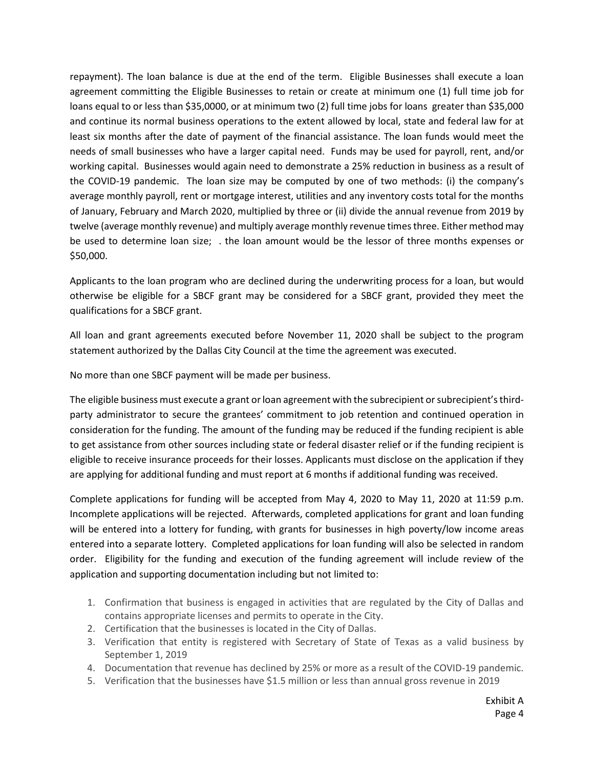repayment). The loan balance is due at the end of the term. Eligible Businesses shall execute a loan agreement committing the Eligible Businesses to retain or create at minimum one (1) full time job for loans equal to or less than \$35,0000, or at minimum two (2) full time jobs for loans greater than \$35,000 and continue its normal business operations to the extent allowed by local, state and federal law for at least six months after the date of payment of the financial assistance. The loan funds would meet the needs of small businesses who have a larger capital need. Funds may be used for payroll, rent, and/or working capital. Businesses would again need to demonstrate a 25% reduction in business as a result of the COVID-19 pandemic. The loan size may be computed by one of two methods: (i) the company's average monthly payroll, rent or mortgage interest, utilities and any inventory costs total for the months of January, February and March 2020, multiplied by three or (ii) divide the annual revenue from 2019 by twelve (average monthly revenue) and multiply average monthly revenue times three. Either method may be used to determine loan size; . the loan amount would be the lessor of three months expenses or \$50,000.

Applicants to the loan program who are declined during the underwriting process for a loan, but would otherwise be eligible for a SBCF grant may be considered for a SBCF grant, provided they meet the qualifications for a SBCF grant.

All loan and grant agreements executed before November 11, 2020 shall be subject to the program statement authorized by the Dallas City Council at the time the agreement was executed.

No more than one SBCF payment will be made per business.

The eligible business must execute a grant or loan agreement with the subrecipient or subrecipient's thirdparty administrator to secure the grantees' commitment to job retention and continued operation in consideration for the funding. The amount of the funding may be reduced if the funding recipient is able to get assistance from other sources including state or federal disaster relief or if the funding recipient is eligible to receive insurance proceeds for their losses. Applicants must disclose on the application if they are applying for additional funding and must report at 6 months if additional funding was received.

Complete applications for funding will be accepted from May 4, 2020 to May 11, 2020 at 11:59 p.m. Incomplete applications will be rejected. Afterwards, completed applications for grant and loan funding will be entered into a lottery for funding, with grants for businesses in high poverty/low income areas entered into a separate lottery. Completed applications for loan funding will also be selected in random order. Eligibility for the funding and execution of the funding agreement will include review of the application and supporting documentation including but not limited to:

- 1. Confirmation that business is engaged in activities that are regulated by the City of Dallas and contains appropriate licenses and permits to operate in the City.
- 2. Certification that the businesses is located in the City of Dallas.
- 3. Verification that entity is registered with Secretary of State of Texas as a valid business by September 1, 2019
- 4. Documentation that revenue has declined by 25% or more as a result of the COVID-19 pandemic.
- 5. Verification that the businesses have \$1.5 million or less than annual gross revenue in 2019